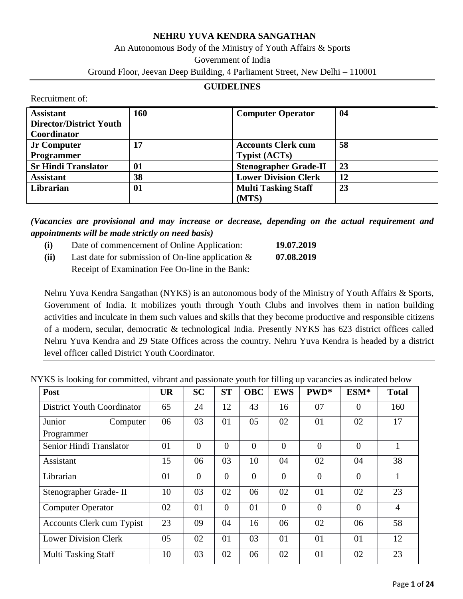#### **NEHRU YUVA KENDRA SANGATHAN**

# An Autonomous Body of the Ministry of Youth Affairs & Sports Government of India

Ground Floor, Jeevan Deep Building, 4 Parliament Street, New Delhi – 110001

#### **GUIDELINES**

Recruitment of:

| <b>Assistant</b><br><b>Director/District Youth</b><br>Coordinator | 160 | <b>Computer Operator</b>                          | 04 |
|-------------------------------------------------------------------|-----|---------------------------------------------------|----|
| <b>Jr Computer</b><br><b>Programmer</b>                           | 17  | <b>Accounts Clerk cum</b><br><b>Typist (ACTs)</b> | 58 |
| <b>Sr Hindi Translator</b>                                        | 01  | <b>Stenographer Grade-II</b>                      | 23 |
| <b>Assistant</b>                                                  | 38  | <b>Lower Division Clerk</b>                       | 12 |
| Librarian                                                         | 01  | <b>Multi Tasking Staff</b><br>(MTS)               | 23 |

*(Vacancies are provisional and may increase or decrease, depending on the actual requirement and appointments will be made strictly on need basis)*

- **(i)** Date of commencement of Online Application: **19.07.2019**
- **(ii)** Last date for submission of On-line application & **07.08.2019** Receipt of Examination Fee On-line in the Bank:

Nehru Yuva Kendra Sangathan (NYKS) is an autonomous body of the Ministry of Youth Affairs & Sports, Government of India. It mobilizes youth through Youth Clubs and involves them in nation building activities and inculcate in them such values and skills that they become productive and responsible citizens of a modern, secular, democratic & technological India. Presently NYKS has 623 district offices called Nehru Yuva Kendra and 29 State Offices across the country. Nehru Yuva Kendra is headed by a district level officer called District Youth Coordinator.

NYKS is looking for committed, vibrant and passionate youth for filling up vacancies as indicated below

| Post                             | <b>UR</b> | <b>SC</b>      | <b>ST</b>      | <b>OBC</b>     | <b>EWS</b>     | PWD*     | ESM*           | <b>Total</b>   |
|----------------------------------|-----------|----------------|----------------|----------------|----------------|----------|----------------|----------------|
| District Youth Coordinator       | 65        | 24             | 12             | 43             | 16             | 07       | $\overline{0}$ | 160            |
| Junior<br>Computer               | 06        | 03             | 01             | 05             | 02             | 01       | 02             | 17             |
| Programmer                       |           |                |                |                |                |          |                |                |
| Senior Hindi Translator          | 01        | $\overline{0}$ | $\theta$       | $\overline{0}$ | $\overline{0}$ | $\theta$ | $\overline{0}$ |                |
| Assistant                        | 15        | 06             | 03             | 10             | 04             | 02       | 04             | 38             |
| Librarian                        | 01        | $\overline{0}$ | $\theta$       | $\overline{0}$ | $\overline{0}$ | $\Omega$ | $\Omega$       |                |
| Stenographer Grade-II            | 10        | 03             | 02             | 06             | 02             | 01       | 02             | 23             |
| <b>Computer Operator</b>         | 02        | 01             | $\overline{0}$ | 01             | $\overline{0}$ | $\Omega$ | $\overline{0}$ | $\overline{4}$ |
| <b>Accounts Clerk cum Typist</b> | 23        | 09             | 04             | 16             | 06             | 02       | 06             | 58             |
| <b>Lower Division Clerk</b>      | 05        | 02             | 01             | 03             | 01             | 01       | 01             | 12             |
| <b>Multi Tasking Staff</b>       | 10        | 03             | 02             | 06             | 02             | 01       | 02             | 23             |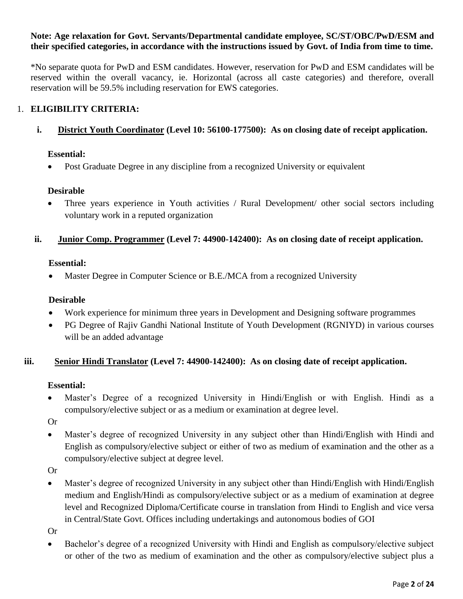#### **Note: Age relaxation for Govt. Servants/Departmental candidate employee, SC/ST/OBC/PwD/ESM and their specified categories, in accordance with the instructions issued by Govt. of India from time to time.**

\*No separate quota for PwD and ESM candidates. However, reservation for PwD and ESM candidates will be reserved within the overall vacancy, ie. Horizontal (across all caste categories) and therefore, overall reservation will be 59.5% including reservation for EWS categories.

### 1. **ELIGIBILITY CRITERIA:**

#### **i. District Youth Coordinator (Level 10: 56100-177500): As on closing date of receipt application.**

#### **Essential:**

• Post Graduate Degree in any discipline from a recognized University or equivalent

#### **Desirable**

• Three years experience in Youth activities / Rural Development/ other social sectors including voluntary work in a reputed organization

#### **ii. Junior Comp. Programmer (Level 7: 44900-142400): As on closing date of receipt application.**

#### **Essential:**

Master Degree in Computer Science or B.E./MCA from a recognized University

#### **Desirable**

- Work experience for minimum three years in Development and Designing software programmes
- PG Degree of Rajiv Gandhi National Institute of Youth Development (RGNIYD) in various courses will be an added advantage

#### **iii. Senior Hindi Translator (Level 7: 44900-142400): As on closing date of receipt application.**

#### **Essential:**

 Master's Degree of a recognized University in Hindi/English or with English. Hindi as a compulsory/elective subject or as a medium or examination at degree level.

Or

 Master's degree of recognized University in any subject other than Hindi/English with Hindi and English as compulsory/elective subject or either of two as medium of examination and the other as a compulsory/elective subject at degree level.

Or

 Master's degree of recognized University in any subject other than Hindi/English with Hindi/English medium and English/Hindi as compulsory/elective subject or as a medium of examination at degree level and Recognized Diploma/Certificate course in translation from Hindi to English and vice versa in Central/State Govt. Offices including undertakings and autonomous bodies of GOI

Or

 Bachelor's degree of a recognized University with Hindi and English as compulsory/elective subject or other of the two as medium of examination and the other as compulsory/elective subject plus a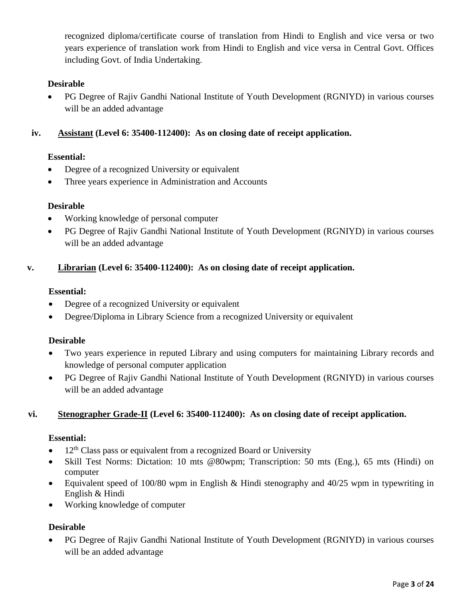recognized diploma/certificate course of translation from Hindi to English and vice versa or two years experience of translation work from Hindi to English and vice versa in Central Govt. Offices including Govt. of India Undertaking.

# **Desirable**

 PG Degree of Rajiv Gandhi National Institute of Youth Development (RGNIYD) in various courses will be an added advantage

### **iv. Assistant (Level 6: 35400-112400): As on closing date of receipt application.**

### **Essential:**

- Degree of a recognized University or equivalent
- Three years experience in Administration and Accounts

### **Desirable**

- Working knowledge of personal computer
- PG Degree of Rajiv Gandhi National Institute of Youth Development (RGNIYD) in various courses will be an added advantage

### **v. Librarian (Level 6: 35400-112400): As on closing date of receipt application.**

### **Essential:**

- Degree of a recognized University or equivalent
- Degree/Diploma in Library Science from a recognized University or equivalent

### **Desirable**

- Two years experience in reputed Library and using computers for maintaining Library records and knowledge of personal computer application
- PG Degree of Rajiv Gandhi National Institute of Youth Development (RGNIYD) in various courses will be an added advantage

# **vi. Stenographer Grade-II (Level 6: 35400-112400): As on closing date of receipt application.**

### **Essential:**

- $\bullet$  12<sup>th</sup> Class pass or equivalent from a recognized Board or University
- Skill Test Norms: Dictation: 10 mts @80wpm; Transcription: 50 mts (Eng.), 65 mts (Hindi) on computer
- Equivalent speed of 100/80 wpm in English & Hindi stenography and  $40/25$  wpm in typewriting in English & Hindi
- Working knowledge of computer

### **Desirable**

 PG Degree of Rajiv Gandhi National Institute of Youth Development (RGNIYD) in various courses will be an added advantage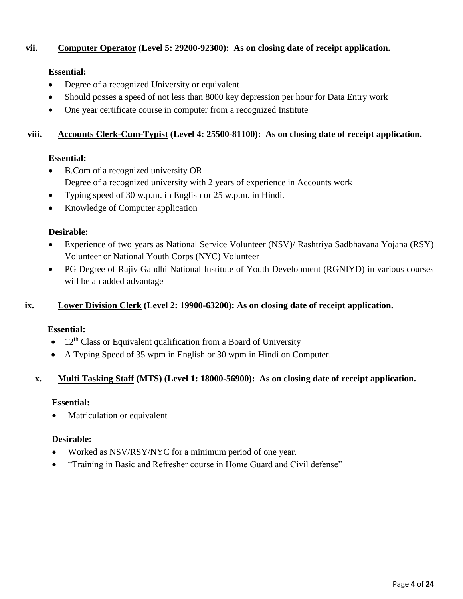### **vii. Computer Operator (Level 5: 29200-92300): As on closing date of receipt application.**

# **Essential:**

- Degree of a recognized University or equivalent
- Should posses a speed of not less than 8000 key depression per hour for Data Entry work
- One year certificate course in computer from a recognized Institute

#### **viii. Accounts Clerk-Cum-Typist (Level 4: 25500-81100): As on closing date of receipt application.**

### **Essential:**

- B.Com of a recognized university OR Degree of a recognized university with 2 years of experience in Accounts work
- Typing speed of 30 w.p.m. in English or 25 w.p.m. in Hindi.
- Knowledge of Computer application

### **Desirable:**

- Experience of two years as National Service Volunteer (NSV)/ Rashtriya Sadbhavana Yojana (RSY) Volunteer or National Youth Corps (NYC) Volunteer
- PG Degree of Rajiv Gandhi National Institute of Youth Development (RGNIYD) in various courses will be an added advantage

### **ix. Lower Division Clerk (Level 2: 19900-63200): As on closing date of receipt application.**

### **Essential:**

- $12<sup>th</sup>$  Class or Equivalent qualification from a Board of University
- A Typing Speed of 35 wpm in English or 30 wpm in Hindi on Computer.

### **x. Multi Tasking Staff (MTS) (Level 1: 18000-56900): As on closing date of receipt application.**

### **Essential:**

Matriculation or equivalent

### **Desirable:**

- Worked as NSV/RSY/NYC for a minimum period of one year.
- "Training in Basic and Refresher course in Home Guard and Civil defense"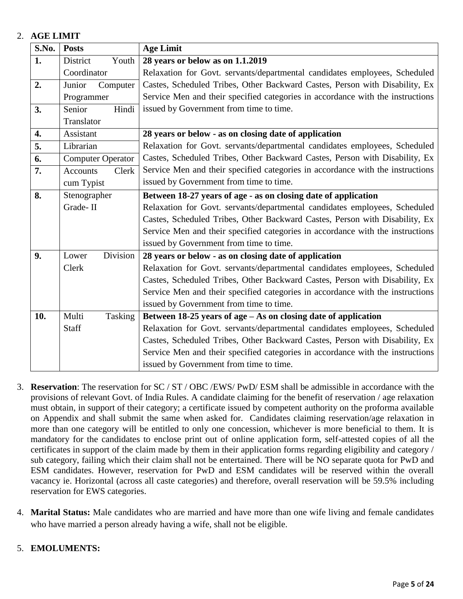# 2. **AGE LIMIT**

| S.No. | <b>Posts</b>                                                                   | <b>Age Limit</b>                                                               |  |  |  |  |
|-------|--------------------------------------------------------------------------------|--------------------------------------------------------------------------------|--|--|--|--|
| 1.    | Youth<br>District                                                              | 28 years or below as on 1.1.2019                                               |  |  |  |  |
|       | Coordinator                                                                    | Relaxation for Govt. servants/departmental candidates employees, Scheduled     |  |  |  |  |
| 2.    | Computer<br>Junior                                                             | Castes, Scheduled Tribes, Other Backward Castes, Person with Disability, Ex    |  |  |  |  |
|       | Programmer                                                                     | Service Men and their specified categories in accordance with the instructions |  |  |  |  |
| 3.    | Hindi<br>Senior                                                                | issued by Government from time to time.                                        |  |  |  |  |
|       | Translator                                                                     |                                                                                |  |  |  |  |
| 4.    | Assistant                                                                      | 28 years or below - as on closing date of application                          |  |  |  |  |
| 5.    | Librarian                                                                      | Relaxation for Govt. servants/departmental candidates employees, Scheduled     |  |  |  |  |
| 6.    | <b>Computer Operator</b>                                                       | Castes, Scheduled Tribes, Other Backward Castes, Person with Disability, Ex    |  |  |  |  |
| 7.    | Clerk<br><b>Accounts</b>                                                       | Service Men and their specified categories in accordance with the instructions |  |  |  |  |
|       | cum Typist                                                                     | issued by Government from time to time.                                        |  |  |  |  |
| 8.    | Stenographer<br>Between 18-27 years of age - as on closing date of application |                                                                                |  |  |  |  |
|       | Grade-II                                                                       | Relaxation for Govt. servants/departmental candidates employees, Scheduled     |  |  |  |  |
|       |                                                                                | Castes, Scheduled Tribes, Other Backward Castes, Person with Disability, Ex    |  |  |  |  |
|       |                                                                                | Service Men and their specified categories in accordance with the instructions |  |  |  |  |
|       |                                                                                | issued by Government from time to time.                                        |  |  |  |  |
| 9.    | Division<br>Lower                                                              | 28 years or below - as on closing date of application                          |  |  |  |  |
|       | Clerk                                                                          | Relaxation for Govt. servants/departmental candidates employees, Scheduled     |  |  |  |  |
|       |                                                                                | Castes, Scheduled Tribes, Other Backward Castes, Person with Disability, Ex    |  |  |  |  |
|       |                                                                                | Service Men and their specified categories in accordance with the instructions |  |  |  |  |
|       |                                                                                | issued by Government from time to time.                                        |  |  |  |  |
| 10.   | Multi<br>Tasking                                                               | Between $18-25$ years of age $-$ As on closing date of application             |  |  |  |  |
|       | Staff                                                                          | Relaxation for Govt. servants/departmental candidates employees, Scheduled     |  |  |  |  |
|       |                                                                                | Castes, Scheduled Tribes, Other Backward Castes, Person with Disability, Ex    |  |  |  |  |
|       |                                                                                | Service Men and their specified categories in accordance with the instructions |  |  |  |  |
|       |                                                                                | issued by Government from time to time.                                        |  |  |  |  |

- 3. **Reservation**: The reservation for SC / ST / OBC /EWS/ PwD/ ESM shall be admissible in accordance with the provisions of relevant Govt. of India Rules. A candidate claiming for the benefit of reservation / age relaxation must obtain, in support of their category; a certificate issued by competent authority on the proforma available on Appendix and shall submit the same when asked for. Candidates claiming reservation/age relaxation in more than one category will be entitled to only one concession, whichever is more beneficial to them. It is mandatory for the candidates to enclose print out of online application form, self-attested copies of all the certificates in support of the claim made by them in their application forms regarding eligibility and category / sub category, failing which their claim shall not be entertained. There will be NO separate quota for PwD and ESM candidates. However, reservation for PwD and ESM candidates will be reserved within the overall vacancy ie. Horizontal (across all caste categories) and therefore, overall reservation will be 59.5% including reservation for EWS categories.
- 4. **Marital Status:** Male candidates who are married and have more than one wife living and female candidates who have married a person already having a wife, shall not be eligible.

### 5. **EMOLUMENTS:**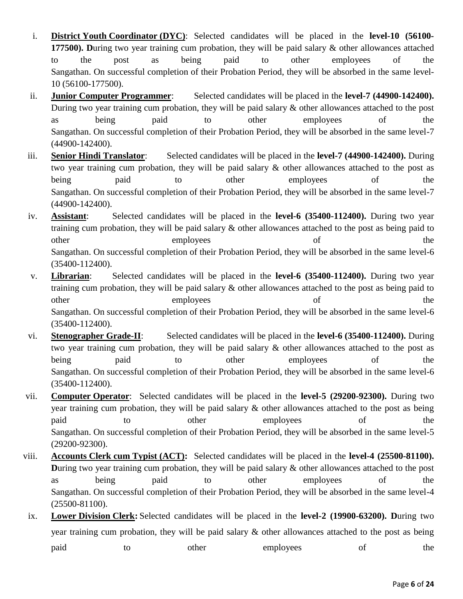- i. **District Youth Coordinator (DYC)**: Selected candidates will be placed in the **level-10 (56100- 177500). D**uring two year training cum probation, they will be paid salary & other allowances attached to the post as being paid to other employees of the Sangathan. On successful completion of their Probation Period, they will be absorbed in the same level-10 (56100-177500).
- ii. **Junior Computer Programmer**: Selected candidates will be placed in the **level-7 (44900-142400).**  During two year training cum probation, they will be paid salary & other allowances attached to the post as being paid to other employees of the Sangathan. On successful completion of their Probation Period, they will be absorbed in the same level-7 (44900-142400).
- iii. **Senior Hindi Translator**: Selected candidates will be placed in the **level-7 (44900-142400).** During two year training cum probation, they will be paid salary & other allowances attached to the post as being paid to other employees of the Sangathan. On successful completion of their Probation Period, they will be absorbed in the same level-7 (44900-142400).
- iv. **Assistant**: Selected candidates will be placed in the **level-6 (35400-112400).** During two year training cum probation, they will be paid salary & other allowances attached to the post as being paid to other employees of the Sangathan. On successful completion of their Probation Period, they will be absorbed in the same level-6 (35400-112400).
- v. **Librarian**: Selected candidates will be placed in the **level-6 (35400-112400).** During two year training cum probation, they will be paid salary & other allowances attached to the post as being paid to other employees of the Sangathan. On successful completion of their Probation Period, they will be absorbed in the same level-6 (35400-112400).
- vi. **Stenographer Grade-II**: Selected candidates will be placed in the **level-6 (35400-112400).** During two year training cum probation, they will be paid salary & other allowances attached to the post as being paid to other employees of the Sangathan. On successful completion of their Probation Period, they will be absorbed in the same level-6 (35400-112400).
- vii. **Computer Operator**: Selected candidates will be placed in the **level-5 (29200-92300).** During two year training cum probation, they will be paid salary & other allowances attached to the post as being paid to other employees of the Sangathan. On successful completion of their Probation Period, they will be absorbed in the same level-5 (29200-92300).
- viii. **Accounts Clerk cum Typist (ACT):** Selected candidates will be placed in the **level-4 (25500-81100). During two year training cum probation, they will be paid salary & other allowances attached to the post** as being paid to other employees of the Sangathan. On successful completion of their Probation Period, they will be absorbed in the same level-4 (25500-81100).
- ix. **Lower Division Clerk:** Selected candidates will be placed in the **level-2 (19900-63200). D**uring two year training cum probation, they will be paid salary & other allowances attached to the post as being paid to other employees of the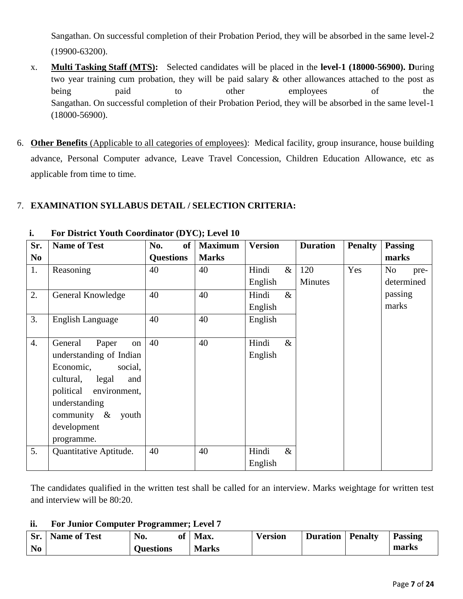Sangathan. On successful completion of their Probation Period, they will be absorbed in the same level-2 (19900-63200).

- x. **Multi Tasking Staff (MTS):** Selected candidates will be placed in the **level-1 (18000-56900). D**uring two year training cum probation, they will be paid salary & other allowances attached to the post as being paid to other employees of the Sangathan. On successful completion of their Probation Period, they will be absorbed in the same level-1 (18000-56900).
- 6. **Other Benefits** (Applicable to all categories of employees): Medical facility, group insurance, house building advance, Personal Computer advance, Leave Travel Concession, Children Education Allowance, etc as applicable from time to time.

# 7. **EXAMINATION SYLLABUS DETAIL / SELECTION CRITERIA:**

| Sr.              | <b>Name of Test</b>       | No.<br>of        | <b>Maximum</b> | <b>Version</b> | <b>Duration</b> | <b>Penalty</b> | <b>Passing</b> |
|------------------|---------------------------|------------------|----------------|----------------|-----------------|----------------|----------------|
| N <sub>0</sub>   |                           | <b>Questions</b> | <b>Marks</b>   |                |                 |                | marks          |
| 1.               | Reasoning                 | 40               | 40             | Hindi          | $\&$<br>120     | Yes            | No.<br>pre-    |
|                  |                           |                  |                | English        | Minutes         |                | determined     |
| 2.               | General Knowledge         | 40               | 40             | Hindi          | $\&$            |                | passing        |
|                  |                           |                  |                | English        |                 |                | marks          |
| 3.               | <b>English Language</b>   | 40               | 40             | English        |                 |                |                |
|                  |                           |                  |                |                |                 |                |                |
| $\overline{4}$ . | General<br>Paper<br>on    | 40               | 40             | Hindi          | $\&$            |                |                |
|                  | understanding of Indian   |                  |                | English        |                 |                |                |
|                  | Economic,<br>social,      |                  |                |                |                 |                |                |
|                  | legal<br>cultural,<br>and |                  |                |                |                 |                |                |
|                  | political environment,    |                  |                |                |                 |                |                |
|                  | understanding             |                  |                |                |                 |                |                |
|                  | community $\&$ youth      |                  |                |                |                 |                |                |
|                  | development               |                  |                |                |                 |                |                |
|                  | programme.                |                  |                |                |                 |                |                |
| 5.               | Quantitative Aptitude.    | 40               | 40             | Hindi          | $\&$            |                |                |
|                  |                           |                  |                | English        |                 |                |                |

# **i. For District Youth Coordinator (DYC); Level 10**

The candidates qualified in the written test shall be called for an interview. Marks weightage for written test and interview will be 80:20.

### **ii. For Junior Computer Programmer; Level 7**

|                | <b>Sr.</b> Name of Test | No.              | of | Max.         | Version | <b>Duration</b> | <b>Penalty</b> | <b>Passing</b> |
|----------------|-------------------------|------------------|----|--------------|---------|-----------------|----------------|----------------|
| N <sub>0</sub> |                         | <b>Ouestions</b> |    | <b>Marks</b> |         |                 |                | marks          |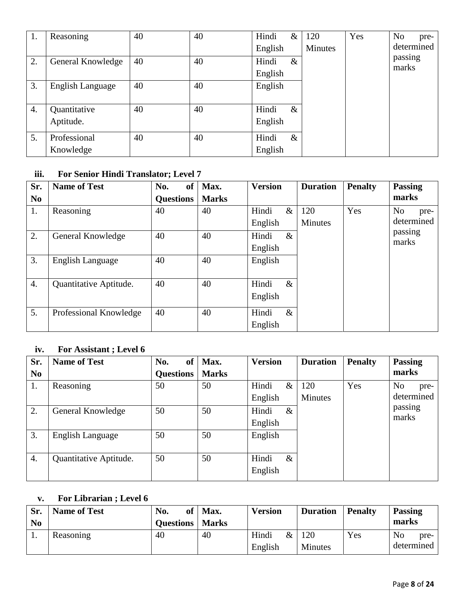| 1. | Reasoning                 | 40 | 40 | Hindi<br>English | $\&$ | 120<br>Minutes | Yes | N <sub>o</sub><br>pre-<br>determined |
|----|---------------------------|----|----|------------------|------|----------------|-----|--------------------------------------|
| 2. | General Knowledge         | 40 | 40 | Hindi<br>English | $\&$ |                |     | passing<br>marks                     |
| 3. | English Language          | 40 | 40 | English          |      |                |     |                                      |
| 4. | Quantitative<br>Aptitude. | 40 | 40 | Hindi<br>English | $\&$ |                |     |                                      |
| 5. | Professional<br>Knowledge | 40 | 40 | Hindi<br>English | $\&$ |                |     |                                      |

# **iii. For Senior Hindi Translator; Level 7**

| Sr.              | <b>Name of Test</b>     | <b>of</b><br>No. | Max.         | <b>Version</b> | <b>Duration</b> | <b>Penalty</b> | <b>Passing</b>         |
|------------------|-------------------------|------------------|--------------|----------------|-----------------|----------------|------------------------|
| N <sub>0</sub>   |                         | <b>Questions</b> | <b>Marks</b> |                |                 |                | marks                  |
| 1.               | Reasoning               | 40               | 40           | Hindi<br>$\&$  | 120             | Yes            | N <sub>o</sub><br>pre- |
|                  |                         |                  |              | English        | <b>Minutes</b>  |                | determined             |
| 2.               | General Knowledge       | 40               | 40           | Hindi<br>$\&$  |                 |                | passing<br>marks       |
|                  |                         |                  |              | English        |                 |                |                        |
| 3.               | <b>English Language</b> | 40               | 40           | English        |                 |                |                        |
|                  |                         |                  |              |                |                 |                |                        |
| $\overline{4}$ . | Quantitative Aptitude.  | 40               | 40           | Hindi<br>$\&$  |                 |                |                        |
|                  |                         |                  |              | English        |                 |                |                        |
| 5.               | Professional Knowledge  | 40               | 40           | Hindi<br>$\&$  |                 |                |                        |
|                  |                         |                  |              | English        |                 |                |                        |

# **iv. For Assistant ; Level 6**

| Sr.            | <b>Name of Test</b>     | <b>of</b><br>No. | Max.         | <b>Version</b> | <b>Duration</b> | <b>Penalty</b> | <b>Passing</b>         |
|----------------|-------------------------|------------------|--------------|----------------|-----------------|----------------|------------------------|
| N <sub>0</sub> |                         | <b>Ouestions</b> | <b>Marks</b> |                |                 |                | marks                  |
| 1.             | Reasoning               | 50               | 50           | Hindi<br>$\&$  | 120             | Yes            | N <sub>o</sub><br>pre- |
|                |                         |                  |              | English        | <b>Minutes</b>  |                | determined             |
| 2.             | General Knowledge       | 50               | 50           | Hindi<br>$\&$  |                 |                | passing                |
|                |                         |                  |              | English        |                 |                | marks                  |
| 3.             | <b>English Language</b> | 50               | 50           | English        |                 |                |                        |
|                |                         |                  |              |                |                 |                |                        |
| 4.             | Quantitative Aptitude.  | 50               | 50           | $\&$<br>Hindi  |                 |                |                        |
|                |                         |                  |              | English        |                 |                |                        |

# **v. For Librarian ; Level 6**

| Sr.<br>N <sub>0</sub> | <b>Name of Test</b> | No.<br>of 1<br><b>Questions</b>   Marks | Max. | <b>Version</b>           | <b>Duration</b>       | <b>Penalty</b> | <b>Passing</b><br>marks              |
|-----------------------|---------------------|-----------------------------------------|------|--------------------------|-----------------------|----------------|--------------------------------------|
|                       | Reasoning           | 40                                      | 40   | Hindi<br>$\&$<br>English | 120<br><b>Minutes</b> | Yes            | N <sub>o</sub><br>pre-<br>determined |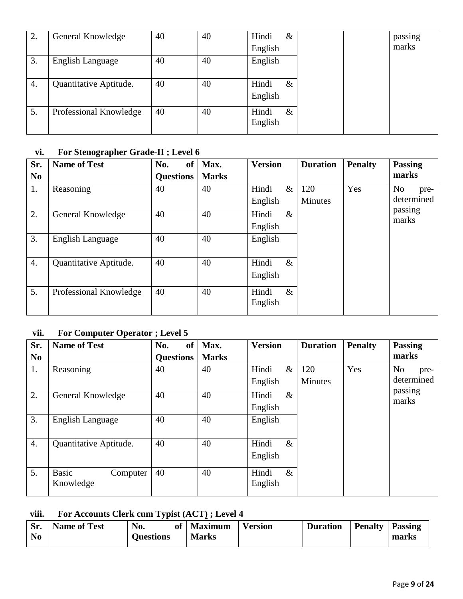| 2. | General Knowledge      | 40 | 40 | Hindi<br>$\&$            |
|----|------------------------|----|----|--------------------------|
|    |                        |    |    | English                  |
| 3. | English Language       | 40 | 40 | English                  |
| 4. | Quantitative Aptitude. | 40 | 40 | Hindi<br>$\&$<br>English |
| 5. | Professional Knowledge | 40 | 40 | Hindi<br>$\&$<br>English |

# **vi. For Stenographer Grade-II ; Level 6**

| Sr.              | <b>Name of Test</b>     | <b>of</b><br>No. | Max.         | <b>Version</b> | <b>Duration</b> | <b>Penalty</b> | <b>Passing</b>   |
|------------------|-------------------------|------------------|--------------|----------------|-----------------|----------------|------------------|
| N <sub>0</sub>   |                         | <b>Questions</b> | <b>Marks</b> |                |                 |                | marks            |
| 1.               | Reasoning               | 40               | 40           | $\&$<br>Hindi  | 120             | Yes            | No<br>pre-       |
|                  |                         |                  |              | English        | <b>Minutes</b>  |                | determined       |
| 2.               | General Knowledge       | 40               | 40           | $\&$<br>Hindi  |                 |                | passing<br>marks |
|                  |                         |                  |              | English        |                 |                |                  |
| 3.               | <b>English Language</b> | 40               | 40           | English        |                 |                |                  |
|                  |                         |                  |              |                |                 |                |                  |
| $\overline{4}$ . | Quantitative Aptitude.  | 40               | 40           | Hindi<br>$\&$  |                 |                |                  |
|                  |                         |                  |              | English        |                 |                |                  |
| 5.               | Professional Knowledge  | 40               | 40           | $\&$<br>Hindi  |                 |                |                  |
|                  |                         |                  |              | English        |                 |                |                  |
|                  |                         |                  |              |                |                 |                |                  |

# **vii. For Computer Operator ; Level 5**

| Sr.              | <b>Name of Test</b>      | <b>of</b><br>No. | Max.         | <b>Version</b> | <b>Duration</b> | <b>Penalty</b> | <b>Passing</b>         |
|------------------|--------------------------|------------------|--------------|----------------|-----------------|----------------|------------------------|
| N <sub>0</sub>   |                          | <b>Questions</b> | <b>Marks</b> |                |                 |                | marks                  |
| 1.               | Reasoning                | 40               | 40           | Hindi<br>$\&$  | 120             | Yes            | N <sub>o</sub><br>pre- |
|                  |                          |                  |              | English        | <b>Minutes</b>  |                | determined             |
| 2.               | General Knowledge        | 40               | 40           | $\&$<br>Hindi  |                 |                | passing<br>marks       |
|                  |                          |                  |              | English        |                 |                |                        |
| 3.               | <b>English Language</b>  | 40               | 40           | English        |                 |                |                        |
|                  |                          |                  |              |                |                 |                |                        |
| $\overline{4}$ . | Quantitative Aptitude.   | 40               | 40           | $\&$<br>Hindi  |                 |                |                        |
|                  |                          |                  |              | English        |                 |                |                        |
| 5.               | <b>Basic</b><br>Computer | 40               | 40           | $\&$<br>Hindi  |                 |                |                        |
|                  | Knowledge                |                  |              | English        |                 |                |                        |

# **viii. For Accounts Clerk cum Typist (ACT) ; Level 4**

| Sr.            | <b>Name of Test</b> | No.              | of | <b>Maximum</b> | Version | <b>Duration</b> | <b>Penalty</b> | <b>Passing</b> |  |
|----------------|---------------------|------------------|----|----------------|---------|-----------------|----------------|----------------|--|
| N <sub>0</sub> |                     | <b>Ouestions</b> |    | <b>Marks</b>   |         |                 |                | marks          |  |
|                |                     |                  |    |                |         |                 |                |                |  |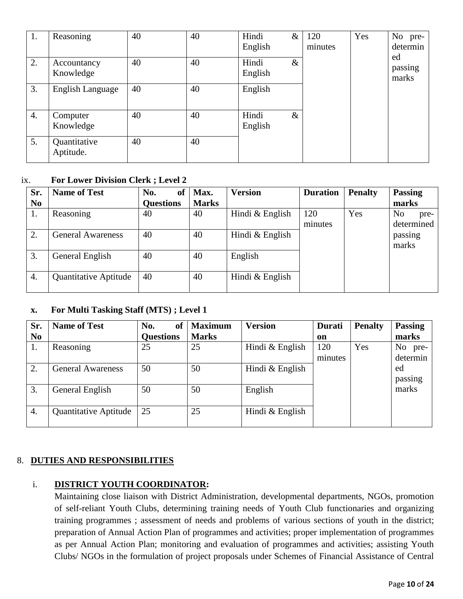| 1. | Reasoning                 | 40 | 40 | Hindi<br>English | $\&$ | 120<br>minutes | Yes | No pre-<br>determin    |
|----|---------------------------|----|----|------------------|------|----------------|-----|------------------------|
| 2. | Accountancy<br>Knowledge  | 40 | 40 | Hindi<br>English | $\&$ |                |     | ed<br>passing<br>marks |
| 3. | <b>English Language</b>   | 40 | 40 | English          |      |                |     |                        |
| 4. | Computer<br>Knowledge     | 40 | 40 | Hindi<br>English | $\&$ |                |     |                        |
| 5. | Quantitative<br>Aptitude. | 40 | 40 |                  |      |                |     |                        |

#### ix. **For Lower Division Clerk ; Level 2**

| Sr.<br>N <sub>0</sub> | <b>Name of Test</b>          | No.<br>of<br><b>Questions</b> | Max.<br><b>Marks</b> | <b>Version</b>  | <b>Duration</b> | <b>Penalty</b> | <b>Passing</b><br>marks  |
|-----------------------|------------------------------|-------------------------------|----------------------|-----------------|-----------------|----------------|--------------------------|
| 1.                    | Reasoning                    | 40                            | 40                   | Hindi & English | 120<br>minutes  | Yes            | No<br>pre-<br>determined |
| 2.                    | <b>General Awareness</b>     | 40                            | 40                   | Hindi & English |                 |                | passing<br>marks         |
| 3.                    | General English              | 40                            | 40                   | English         |                 |                |                          |
| 4.                    | <b>Quantitative Aptitude</b> | 40                            | 40                   | Hindi & English |                 |                |                          |

### **x. For Multi Tasking Staff (MTS) ; Level 1**

| Sr.            | <b>Name of Test</b>          | No.<br>of        | <b>Maximum</b> | <b>Version</b>    | Durati  | <b>Penalty</b> | <b>Passing</b> |
|----------------|------------------------------|------------------|----------------|-------------------|---------|----------------|----------------|
| N <sub>0</sub> |                              | <b>Questions</b> | <b>Marks</b>   |                   | on      |                | marks          |
| 1.             | Reasoning                    | 25               | 25             | Hindi & English   | 120     | Yes            | No pre-        |
|                |                              |                  |                |                   | minutes |                | determin       |
| 2.             | <b>General Awareness</b>     | 50               | 50             | Hindi $&$ English |         |                | ed             |
|                |                              |                  |                |                   |         |                | passing        |
| 3.             | General English              | 50               | 50             | English           |         |                | marks          |
|                |                              |                  |                |                   |         |                |                |
| 4.             | <b>Quantitative Aptitude</b> | 25               | 25             | Hindi $&$ English |         |                |                |
|                |                              |                  |                |                   |         |                |                |

### 8. **DUTIES AND RESPONSIBILITIES**

# i. **DISTRICT YOUTH COORDINATOR:**

Maintaining close liaison with District Administration, developmental departments, NGOs, promotion of self-reliant Youth Clubs, determining training needs of Youth Club functionaries and organizing training programmes ; assessment of needs and problems of various sections of youth in the district; preparation of Annual Action Plan of programmes and activities; proper implementation of programmes as per Annual Action Plan; monitoring and evaluation of programmes and activities; assisting Youth Clubs/ NGOs in the formulation of project proposals under Schemes of Financial Assistance of Central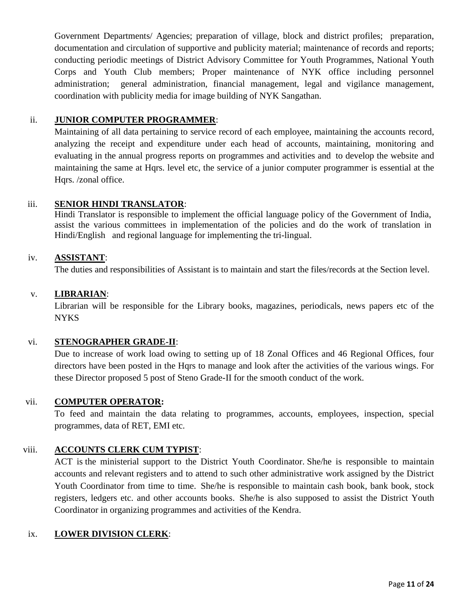Government Departments/ Agencies; preparation of village, block and district profiles; preparation, documentation and circulation of supportive and publicity material; maintenance of records and reports; conducting periodic meetings of District Advisory Committee for Youth Programmes, National Youth Corps and Youth Club members; Proper maintenance of NYK office including personnel administration; general administration, financial management, legal and vigilance management, coordination with publicity media for image building of NYK Sangathan.

### ii. **JUNIOR COMPUTER PROGRAMMER**:

Maintaining of all data pertaining to service record of each employee, maintaining the accounts record, analyzing the receipt and expenditure under each head of accounts, maintaining, monitoring and evaluating in the annual progress reports on programmes and activities and to develop the website and maintaining the same at Hqrs. level etc, the service of a junior computer programmer is essential at the Hars. /zonal office.

### iii. **SENIOR HINDI TRANSLATOR**:

Hindi Translator is responsible to implement the official language policy of the Government of India, assist the various committees in implementation of the policies and do the work of translation in Hindi/English and regional language for implementing the tri-lingual.

### iv. **ASSISTANT**:

The duties and responsibilities of Assistant is to maintain and start the files/records at the Section level.

### v. **LIBRARIAN**:

Librarian will be responsible for the Library books, magazines, periodicals, news papers etc of the **NYKS** 

### vi. **STENOGRAPHER GRADE-II**:

Due to increase of work load owing to setting up of 18 Zonal Offices and 46 Regional Offices, four directors have been posted in the Hqrs to manage and look after the activities of the various wings. For these Director proposed 5 post of Steno Grade-II for the smooth conduct of the work.

### vii. **COMPUTER OPERATOR:**

To feed and maintain the data relating to programmes, accounts, employees, inspection, special programmes, data of RET, EMI etc.

# viii. **ACCOUNTS CLERK CUM TYPIST**:

ACT is the ministerial support to the District Youth Coordinator. She/he is responsible to maintain accounts and relevant registers and to attend to such other administrative work assigned by the District Youth Coordinator from time to time. She/he is responsible to maintain cash book, bank book, stock registers, ledgers etc. and other accounts books. She/he is also supposed to assist the District Youth Coordinator in organizing programmes and activities of the Kendra.

### ix. **LOWER DIVISION CLERK**: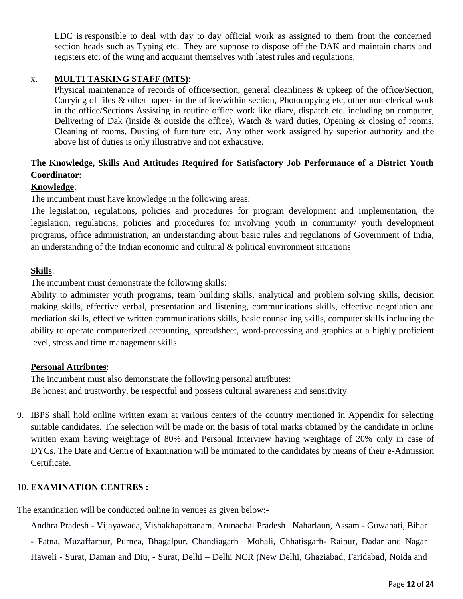LDC is responsible to deal with day to day official work as assigned to them from the concerned section heads such as Typing etc. They are suppose to dispose off the DAK and maintain charts and registers etc; of the wing and acquaint themselves with latest rules and regulations.

#### x. **MULTI TASKING STAFF (MTS)**:

Physical maintenance of records of office/section, general cleanliness & upkeep of the office/Section, Carrying of files & other papers in the office/within section, Photocopying etc, other non-clerical work in the office/Sections Assisting in routine office work like diary, dispatch etc. including on computer, Delivering of Dak (inside & outside the office), Watch & ward duties, Opening & closing of rooms, Cleaning of rooms, Dusting of furniture etc, Any other work assigned by superior authority and the above list of duties is only illustrative and not exhaustive.

# **The Knowledge, Skills And Attitudes Required for Satisfactory Job Performance of a District Youth Coordinator**:

#### **Knowledge**:

The incumbent must have knowledge in the following areas:

The legislation, regulations, policies and procedures for program development and implementation, the legislation, regulations, policies and procedures for involving youth in community/ youth development programs, office administration, an understanding about basic rules and regulations of Government of India, an understanding of the Indian economic and cultural  $\&$  political environment situations

#### **Skills**:

The incumbent must demonstrate the following skills:

Ability to administer youth programs, team building skills, analytical and problem solving skills, decision making skills, effective verbal, presentation and listening, communications skills, effective negotiation and mediation skills, effective written communications skills, basic counseling skills, computer skills including the ability to operate computerized accounting, spreadsheet, word-processing and graphics at a highly proficient level, stress and time management skills

#### **Personal Attributes**:

The incumbent must also demonstrate the following personal attributes: Be honest and trustworthy, be respectful and possess cultural awareness and sensitivity

9. IBPS shall hold online written exam at various centers of the country mentioned in Appendix for selecting suitable candidates. The selection will be made on the basis of total marks obtained by the candidate in online written exam having weightage of 80% and Personal Interview having weightage of 20% only in case of DYCs. The Date and Centre of Examination will be intimated to the candidates by means of their e-Admission Certificate.

#### 10. **EXAMINATION CENTRES :**

The examination will be conducted online in venues as given below:-

Andhra Pradesh - Vijayawada, Vishakhapattanam. Arunachal Pradesh –Naharlaun, Assam - Guwahati, Bihar

- Patna, Muzaffarpur, Purnea, Bhagalpur. Chandiagarh –Mohali, Chhatisgarh- Raipur, Dadar and Nagar Haweli - Surat, Daman and Diu, - Surat, Delhi – Delhi NCR (New Delhi, Ghaziabad, Faridabad, Noida and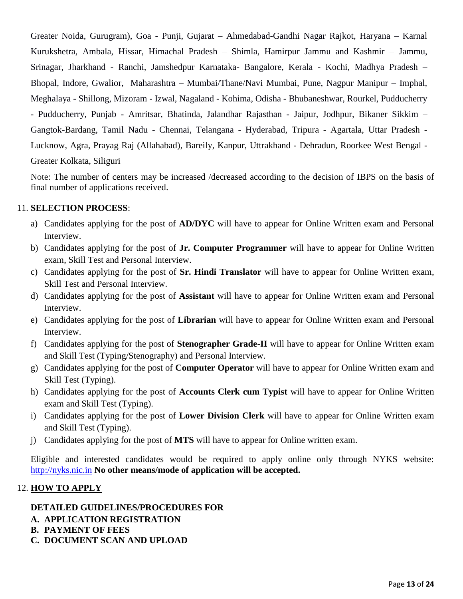Greater Noida, Gurugram), Goa - Punji, Gujarat – Ahmedabad-Gandhi Nagar Rajkot, Haryana – Karnal Kurukshetra, Ambala, Hissar, Himachal Pradesh – Shimla, Hamirpur Jammu and Kashmir – Jammu, Srinagar, Jharkhand - Ranchi, Jamshedpur Karnataka- Bangalore, Kerala - Kochi, Madhya Pradesh – Bhopal, Indore, Gwalior, Maharashtra – Mumbai/Thane/Navi Mumbai, Pune, Nagpur Manipur – Imphal, Meghalaya - Shillong, Mizoram - Izwal, Nagaland - Kohima, Odisha - Bhubaneshwar, Rourkel, Pudducherry - Pudducherry, Punjab - Amritsar, Bhatinda, Jalandhar Rajasthan - Jaipur, Jodhpur, Bikaner Sikkim – Gangtok-Bardang, Tamil Nadu - Chennai, Telangana - Hyderabad, Tripura - Agartala, Uttar Pradesh - Lucknow, Agra, Prayag Raj (Allahabad), Bareily, Kanpur, Uttrakhand - Dehradun, Roorkee West Bengal - Greater Kolkata, Siliguri

Note: The number of centers may be increased /decreased according to the decision of IBPS on the basis of final number of applications received.

### 11. **SELECTION PROCESS**:

- a) Candidates applying for the post of **AD/DYC** will have to appear for Online Written exam and Personal Interview.
- b) Candidates applying for the post of **Jr. Computer Programmer** will have to appear for Online Written exam, Skill Test and Personal Interview.
- c) Candidates applying for the post of **Sr. Hindi Translator** will have to appear for Online Written exam, Skill Test and Personal Interview.
- d) Candidates applying for the post of **Assistant** will have to appear for Online Written exam and Personal Interview.
- e) Candidates applying for the post of **Librarian** will have to appear for Online Written exam and Personal Interview.
- f) Candidates applying for the post of **Stenographer Grade-II** will have to appear for Online Written exam and Skill Test (Typing/Stenography) and Personal Interview.
- g) Candidates applying for the post of **Computer Operator** will have to appear for Online Written exam and Skill Test (Typing).
- h) Candidates applying for the post of **Accounts Clerk cum Typist** will have to appear for Online Written exam and Skill Test (Typing).
- i) Candidates applying for the post of **Lower Division Clerk** will have to appear for Online Written exam and Skill Test (Typing).
- j) Candidates applying for the post of **MTS** will have to appear for Online written exam.

Eligible and interested candidates would be required to apply online only through NYKS website: [http://nyks.nic.in](http://nyks.nic.in/) **No other means/mode of application will be accepted.**

#### 12. **HOW TO APPLY**

# **DETAILED GUIDELINES/PROCEDURES FOR**

- **A. APPLICATION REGISTRATION**
- **B. PAYMENT OF FEES**
- **C. DOCUMENT SCAN AND UPLOAD**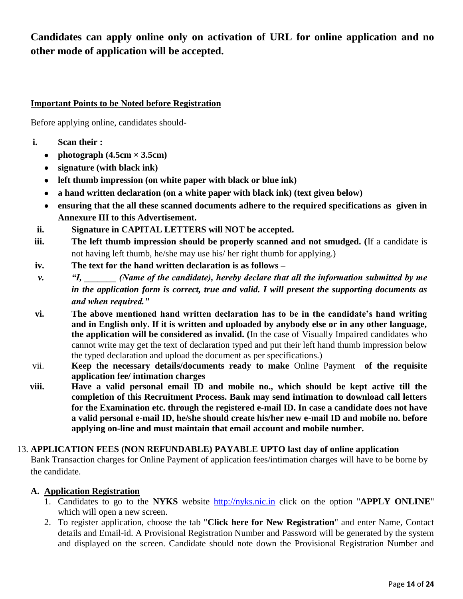**Candidates can apply online only on activation of URL for online application and no other mode of application will be accepted.**

### **Important Points to be Noted before Registration**

Before applying online, candidates should-

- **i. Scan their :** 
	- photograph  $(4.5cm \times 3.5cm)$
	- **signature (with black ink)**
	- **left thumb impression (on white paper with black or blue ink)**
	- **a hand written declaration (on a white paper with black ink) (text given below)**
	- **ensuring that the all these scanned documents adhere to the required specifications as given in Annexure III to this Advertisement.**
- **ii. Signature in CAPITAL LETTERS will NOT be accepted.**
- **iii. The left thumb impression should be properly scanned and not smudged. (**If a candidate is not having left thumb, he/she may use his/ her right thumb for applying.)
- **iv. The text for the hand written declaration is as follows –**
- *v. "I, (Name of the candidate), hereby declare that all the information submitted by me in the application form is correct, true and valid. I will present the supporting documents as and when required."*
- **vi. The above mentioned hand written declaration has to be in the candidate's hand writing and in English only. If it is written and uploaded by anybody else or in any other language, the application will be considered as invalid. (**In the case of Visually Impaired candidates who cannot write may get the text of declaration typed and put their left hand thumb impression below the typed declaration and upload the document as per specifications.)
- vii. **Keep the necessary details/documents ready to make** Online Payment **of the requisite application fee/ intimation charges**
- **viii. Have a valid personal email ID and mobile no., which should be kept active till the completion of this Recruitment Process. Bank may send intimation to download call letters for the Examination etc. through the registered e-mail ID. In case a candidate does not have a valid personal e-mail ID, he/she should create his/her new e-mail ID and mobile no. before applying on-line and must maintain that email account and mobile number.**

### 13. **APPLICATION FEES (NON REFUNDABLE) PAYABLE UPTO last day of online application**

Bank Transaction charges for Online Payment of application fees/intimation charges will have to be borne by the candidate.

### **A. Application Registration**

- 1. Candidates to go to the **NYKS** website [http://nyks.nic.in](http://nyks.nic.in/) click on the option "**APPLY ONLINE**" which will open a new screen.
- 2. To register application, choose the tab "**Click here for New Registration**" and enter Name, Contact details and Email-id. A Provisional Registration Number and Password will be generated by the system and displayed on the screen. Candidate should note down the Provisional Registration Number and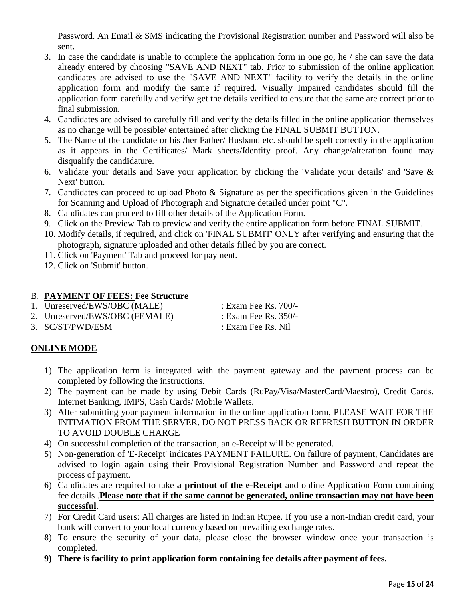Password. An Email & SMS indicating the Provisional Registration number and Password will also be sent.

- 3. In case the candidate is unable to complete the application form in one go, he / she can save the data already entered by choosing "SAVE AND NEXT" tab. Prior to submission of the online application candidates are advised to use the "SAVE AND NEXT" facility to verify the details in the online application form and modify the same if required. Visually Impaired candidates should fill the application form carefully and verify/ get the details verified to ensure that the same are correct prior to final submission.
- 4. Candidates are advised to carefully fill and verify the details filled in the online application themselves as no change will be possible/ entertained after clicking the FINAL SUBMIT BUTTON.
- 5. The Name of the candidate or his /her Father/ Husband etc. should be spelt correctly in the application as it appears in the Certificates/ Mark sheets/Identity proof. Any change/alteration found may disqualify the candidature.
- 6. Validate your details and Save your application by clicking the 'Validate your details' and 'Save & Next' button.
- 7. Candidates can proceed to upload Photo & Signature as per the specifications given in the Guidelines for Scanning and Upload of Photograph and Signature detailed under point "C".
- 8. Candidates can proceed to fill other details of the Application Form.
- 9. Click on the Preview Tab to preview and verify the entire application form before FINAL SUBMIT.
- 10. Modify details, if required, and click on 'FINAL SUBMIT' ONLY after verifying and ensuring that the photograph, signature uploaded and other details filled by you are correct.
- 11. Click on 'Payment' Tab and proceed for payment.
- 12. Click on 'Submit' button.

### B. **PAYMENT OF FEES: Fee Structure**

1. Unreserved/EWS/OBC (MALE) : Exam Fee Rs. 700/-

2. Unreserved/EWS/OBC (FEMALE) : Exam Fee Rs. 350/-

3. SC/ST/PWD/ESM : Exam Fee Rs. Nil

# **ONLINE MODE**

- 1) The application form is integrated with the payment gateway and the payment process can be completed by following the instructions.
- 2) The payment can be made by using Debit Cards (RuPay/Visa/MasterCard/Maestro), Credit Cards, Internet Banking, IMPS, Cash Cards/ Mobile Wallets.
- 3) After submitting your payment information in the online application form, PLEASE WAIT FOR THE INTIMATION FROM THE SERVER. DO NOT PRESS BACK OR REFRESH BUTTON IN ORDER TO AVOID DOUBLE CHARGE
- 4) On successful completion of the transaction, an e-Receipt will be generated.
- 5) Non-generation of 'E-Receipt' indicates PAYMENT FAILURE. On failure of payment, Candidates are advised to login again using their Provisional Registration Number and Password and repeat the process of payment.
- 6) Candidates are required to take **a printout of the e-Receipt** and online Application Form containing fee details .**Please note that if the same cannot be generated, online transaction may not have been successful**.
- 7) For Credit Card users: All charges are listed in Indian Rupee. If you use a non-Indian credit card, your bank will convert to your local currency based on prevailing exchange rates.
- 8) To ensure the security of your data, please close the browser window once your transaction is completed.
- **9) There is facility to print application form containing fee details after payment of fees.**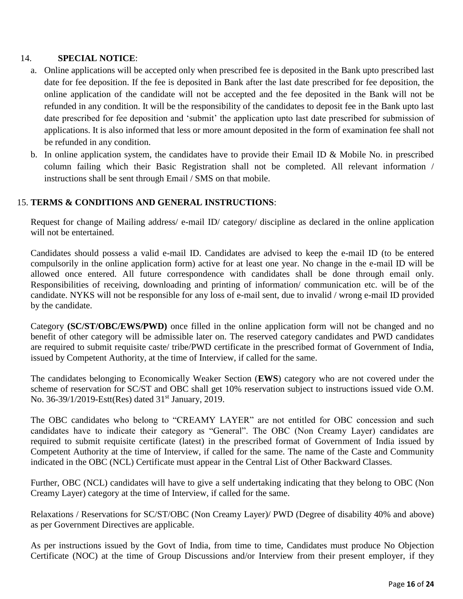### 14. **SPECIAL NOTICE**:

- a. Online applications will be accepted only when prescribed fee is deposited in the Bank upto prescribed last date for fee deposition. If the fee is deposited in Bank after the last date prescribed for fee deposition, the online application of the candidate will not be accepted and the fee deposited in the Bank will not be refunded in any condition. It will be the responsibility of the candidates to deposit fee in the Bank upto last date prescribed for fee deposition and 'submit' the application upto last date prescribed for submission of applications. It is also informed that less or more amount deposited in the form of examination fee shall not be refunded in any condition.
- b. In online application system, the candidates have to provide their Email ID  $\&$  Mobile No. in prescribed column failing which their Basic Registration shall not be completed. All relevant information / instructions shall be sent through Email / SMS on that mobile.

#### 15. **TERMS & CONDITIONS AND GENERAL INSTRUCTIONS**:

Request for change of Mailing address/ e-mail ID/ category/ discipline as declared in the online application will not be entertained.

Candidates should possess a valid e-mail ID. Candidates are advised to keep the e-mail ID (to be entered compulsorily in the online application form) active for at least one year. No change in the e-mail ID will be allowed once entered. All future correspondence with candidates shall be done through email only. Responsibilities of receiving, downloading and printing of information/ communication etc. will be of the candidate. NYKS will not be responsible for any loss of e-mail sent, due to invalid / wrong e-mail ID provided by the candidate.

Category **(SC/ST/OBC/EWS/PWD)** once filled in the online application form will not be changed and no benefit of other category will be admissible later on. The reserved category candidates and PWD candidates are required to submit requisite caste/ tribe/PWD certificate in the prescribed format of Government of India, issued by Competent Authority, at the time of Interview, if called for the same.

The candidates belonging to Economically Weaker Section (**EWS**) category who are not covered under the scheme of reservation for SC/ST and OBC shall get 10% reservation subject to instructions issued vide O.M. No. 36-39/1/2019-Estt(Res) dated 31<sup>st</sup> January, 2019.

The OBC candidates who belong to "CREAMY LAYER" are not entitled for OBC concession and such candidates have to indicate their category as "General". The OBC (Non Creamy Layer) candidates are required to submit requisite certificate (latest) in the prescribed format of Government of India issued by Competent Authority at the time of Interview, if called for the same. The name of the Caste and Community indicated in the OBC (NCL) Certificate must appear in the Central List of Other Backward Classes.

Further, OBC (NCL) candidates will have to give a self undertaking indicating that they belong to OBC (Non Creamy Layer) category at the time of Interview, if called for the same.

Relaxations / Reservations for SC/ST/OBC (Non Creamy Layer)/ PWD (Degree of disability 40% and above) as per Government Directives are applicable.

As per instructions issued by the Govt of India, from time to time, Candidates must produce No Objection Certificate (NOC) at the time of Group Discussions and/or Interview from their present employer, if they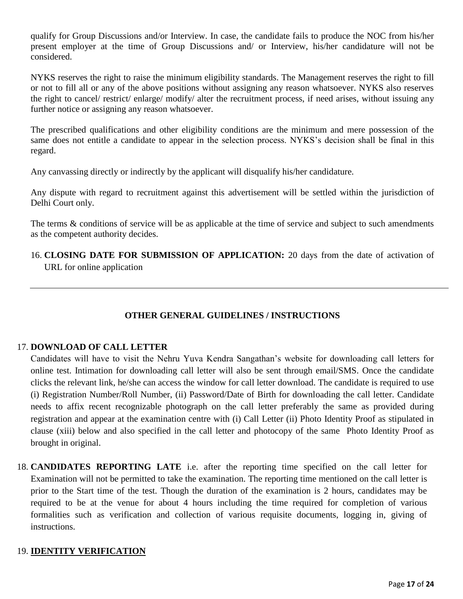qualify for Group Discussions and/or Interview. In case, the candidate fails to produce the NOC from his/her present employer at the time of Group Discussions and/ or Interview, his/her candidature will not be considered.

NYKS reserves the right to raise the minimum eligibility standards. The Management reserves the right to fill or not to fill all or any of the above positions without assigning any reason whatsoever. NYKS also reserves the right to cancel/ restrict/ enlarge/ modify/ alter the recruitment process, if need arises, without issuing any further notice or assigning any reason whatsoever.

The prescribed qualifications and other eligibility conditions are the minimum and mere possession of the same does not entitle a candidate to appear in the selection process. NYKS's decision shall be final in this regard.

Any canvassing directly or indirectly by the applicant will disqualify his/her candidature.

Any dispute with regard to recruitment against this advertisement will be settled within the jurisdiction of Delhi Court only.

The terms & conditions of service will be as applicable at the time of service and subject to such amendments as the competent authority decides.

16. **CLOSING DATE FOR SUBMISSION OF APPLICATION:** 20 days from the date of activation of URL for online application

# **OTHER GENERAL GUIDELINES / INSTRUCTIONS**

### 17. **DOWNLOAD OF CALL LETTER**

Candidates will have to visit the Nehru Yuva Kendra Sangathan's website for downloading call letters for online test. Intimation for downloading call letter will also be sent through email/SMS. Once the candidate clicks the relevant link, he/she can access the window for call letter download. The candidate is required to use (i) Registration Number/Roll Number, (ii) Password/Date of Birth for downloading the call letter. Candidate needs to affix recent recognizable photograph on the call letter preferably the same as provided during registration and appear at the examination centre with (i) Call Letter (ii) Photo Identity Proof as stipulated in clause (xiii) below and also specified in the call letter and photocopy of the same Photo Identity Proof as brought in original.

18. **CANDIDATES REPORTING LATE** i.e. after the reporting time specified on the call letter for Examination will not be permitted to take the examination. The reporting time mentioned on the call letter is prior to the Start time of the test. Though the duration of the examination is 2 hours, candidates may be required to be at the venue for about 4 hours including the time required for completion of various formalities such as verification and collection of various requisite documents, logging in, giving of instructions.

### 19. **IDENTITY VERIFICATION**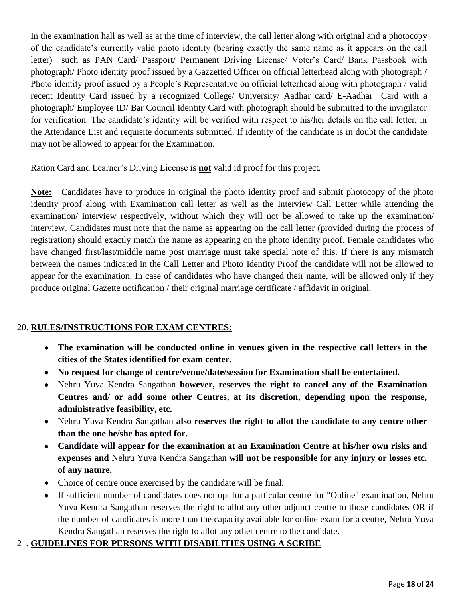In the examination hall as well as at the time of interview, the call letter along with original and a photocopy of the candidate's currently valid photo identity (bearing exactly the same name as it appears on the call letter) such as PAN Card/ Passport/ Permanent Driving License/ Voter's Card/ Bank Passbook with photograph/ Photo identity proof issued by a Gazzetted Officer on official letterhead along with photograph / Photo identity proof issued by a People's Representative on official letterhead along with photograph / valid recent Identity Card issued by a recognized College/ University/ Aadhar card/ E-Aadhar Card with a photograph/ Employee ID/ Bar Council Identity Card with photograph should be submitted to the invigilator for verification. The candidate's identity will be verified with respect to his/her details on the call letter, in the Attendance List and requisite documents submitted. If identity of the candidate is in doubt the candidate may not be allowed to appear for the Examination.

Ration Card and Learner's Driving License is **not** valid id proof for this project.

**Note:** Candidates have to produce in original the photo identity proof and submit photocopy of the photo identity proof along with Examination call letter as well as the Interview Call Letter while attending the examination/ interview respectively, without which they will not be allowed to take up the examination/ interview. Candidates must note that the name as appearing on the call letter (provided during the process of registration) should exactly match the name as appearing on the photo identity proof. Female candidates who have changed first/last/middle name post marriage must take special note of this. If there is any mismatch between the names indicated in the Call Letter and Photo Identity Proof the candidate will not be allowed to appear for the examination. In case of candidates who have changed their name, will be allowed only if they produce original Gazette notification / their original marriage certificate / affidavit in original.

# 20. **RULES/INSTRUCTIONS FOR EXAM CENTRES:**

- **The examination will be conducted online in venues given in the respective call letters in the cities of the States identified for exam center.**
- **No request for change of centre/venue/date/session for Examination shall be entertained.**
- Nehru Yuva Kendra Sangathan **however, reserves the right to cancel any of the Examination Centres and/ or add some other Centres, at its discretion, depending upon the response, administrative feasibility, etc.**
- Nehru Yuva Kendra Sangathan **also reserves the right to allot the candidate to any centre other than the one he/she has opted for.**
- **Candidate will appear for the examination at an Examination Centre at his/her own risks and expenses and** Nehru Yuva Kendra Sangathan **will not be responsible for any injury or losses etc. of any nature.**
- Choice of centre once exercised by the candidate will be final.
- If sufficient number of candidates does not opt for a particular centre for "Online" examination, Nehru Yuva Kendra Sangathan reserves the right to allot any other adjunct centre to those candidates OR if the number of candidates is more than the capacity available for online exam for a centre, Nehru Yuva Kendra Sangathan reserves the right to allot any other centre to the candidate.

# 21. **GUIDELINES FOR PERSONS WITH DISABILITIES USING A SCRIBE**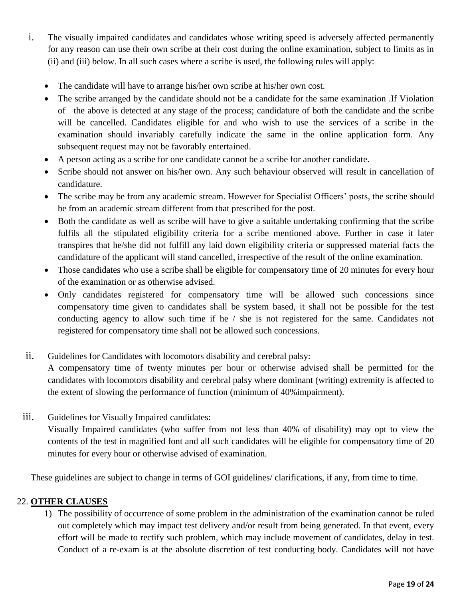- i. The visually impaired candidates and candidates whose writing speed is adversely affected permanently for any reason can use their own scribe at their cost during the online examination, subject to limits as in (ii) and (iii) below. In all such cases where a scribe is used, the following rules will apply:
	- The candidate will have to arrange his/her own scribe at his/her own cost.
	- The scribe arranged by the candidate should not be a candidate for the same examination .If Violation of the above is detected at any stage of the process; candidature of both the candidate and the scribe will be cancelled. Candidates eligible for and who wish to use the services of a scribe in the examination should invariably carefully indicate the same in the online application form. Any subsequent request may not be favorably entertained.
	- A person acting as a scribe for one candidate cannot be a scribe for another candidate.
	- Scribe should not answer on his/her own. Any such behaviour observed will result in cancellation of candidature.
	- The scribe may be from any academic stream. However for Specialist Officers' posts, the scribe should be from an academic stream different from that prescribed for the post.
	- Both the candidate as well as scribe will have to give a suitable undertaking confirming that the scribe fulfils all the stipulated eligibility criteria for a scribe mentioned above. Further in case it later transpires that he/she did not fulfill any laid down eligibility criteria or suppressed material facts the candidature of the applicant will stand cancelled, irrespective of the result of the online examination.
	- Those candidates who use a scribe shall be eligible for compensatory time of 20 minutes for every hour of the examination or as otherwise advised.
	- Only candidates registered for compensatory time will be allowed such concessions since compensatory time given to candidates shall be system based, it shall not be possible for the test conducting agency to allow such time if he / she is not registered for the same. Candidates not registered for compensatory time shall not be allowed such concessions.
- ii. Guidelines for Candidates with locomotors disability and cerebral palsy:

A compensatory time of twenty minutes per hour or otherwise advised shall be permitted for the candidates with locomotors disability and cerebral palsy where dominant (writing) extremity is affected to the extent of slowing the performance of function (minimum of 40%impairment).

iii. Guidelines for Visually Impaired candidates: Visually Impaired candidates (who suffer from not less than 40% of disability) may opt to view the contents of the test in magnified font and all such candidates will be eligible for compensatory time of 20 minutes for every hour or otherwise advised of examination.

These guidelines are subject to change in terms of GOI guidelines/ clarifications, if any, from time to time.

### 22. **OTHER CLAUSES**

1) The possibility of occurrence of some problem in the administration of the examination cannot be ruled out completely which may impact test delivery and/or result from being generated. In that event, every effort will be made to rectify such problem, which may include movement of candidates, delay in test. Conduct of a re-exam is at the absolute discretion of test conducting body. Candidates will not have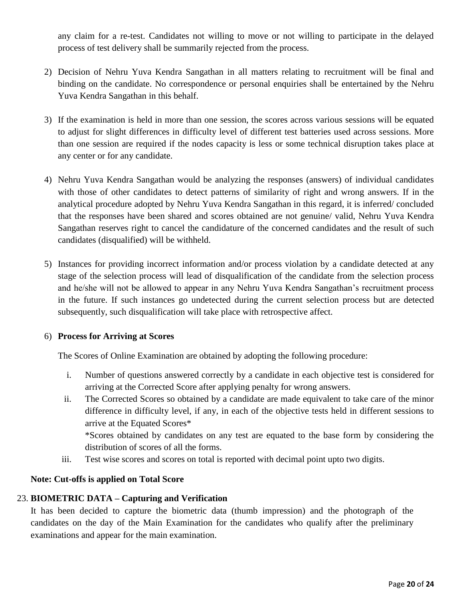any claim for a re-test. Candidates not willing to move or not willing to participate in the delayed process of test delivery shall be summarily rejected from the process.

- 2) Decision of Nehru Yuva Kendra Sangathan in all matters relating to recruitment will be final and binding on the candidate. No correspondence or personal enquiries shall be entertained by the Nehru Yuva Kendra Sangathan in this behalf.
- 3) If the examination is held in more than one session, the scores across various sessions will be equated to adjust for slight differences in difficulty level of different test batteries used across sessions. More than one session are required if the nodes capacity is less or some technical disruption takes place at any center or for any candidate.
- 4) Nehru Yuva Kendra Sangathan would be analyzing the responses (answers) of individual candidates with those of other candidates to detect patterns of similarity of right and wrong answers. If in the analytical procedure adopted by Nehru Yuva Kendra Sangathan in this regard, it is inferred/ concluded that the responses have been shared and scores obtained are not genuine/ valid, Nehru Yuva Kendra Sangathan reserves right to cancel the candidature of the concerned candidates and the result of such candidates (disqualified) will be withheld.
- 5) Instances for providing incorrect information and/or process violation by a candidate detected at any stage of the selection process will lead of disqualification of the candidate from the selection process and he/she will not be allowed to appear in any Nehru Yuva Kendra Sangathan's recruitment process in the future. If such instances go undetected during the current selection process but are detected subsequently, such disqualification will take place with retrospective affect.

#### 6) **Process for Arriving at Scores**

The Scores of Online Examination are obtained by adopting the following procedure:

- i. Number of questions answered correctly by a candidate in each objective test is considered for arriving at the Corrected Score after applying penalty for wrong answers.
- ii. The Corrected Scores so obtained by a candidate are made equivalent to take care of the minor difference in difficulty level, if any, in each of the objective tests held in different sessions to arrive at the Equated Scores\* \*Scores obtained by candidates on any test are equated to the base form by considering the distribution of scores of all the forms.
- iii. Test wise scores and scores on total is reported with decimal point upto two digits.

#### **Note: Cut-offs is applied on Total Score**

### 23. **BIOMETRIC DATA – Capturing and Verification**

It has been decided to capture the biometric data (thumb impression) and the photograph of the candidates on the day of the Main Examination for the candidates who qualify after the preliminary examinations and appear for the main examination.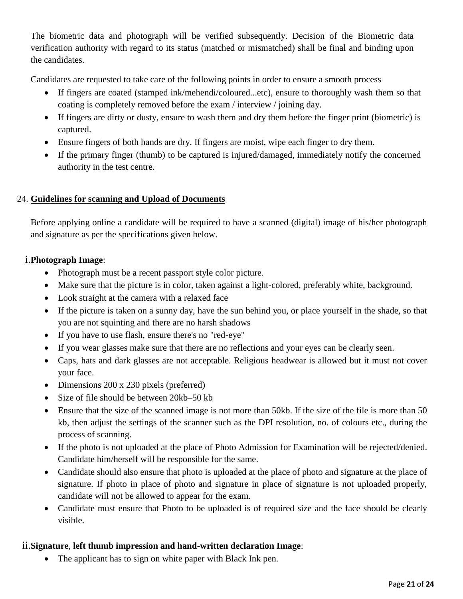The biometric data and photograph will be verified subsequently. Decision of the Biometric data verification authority with regard to its status (matched or mismatched) shall be final and binding upon the candidates.

Candidates are requested to take care of the following points in order to ensure a smooth process

- If fingers are coated (stamped ink/mehendi/coloured...etc), ensure to thoroughly wash them so that coating is completely removed before the exam / interview / joining day.
- If fingers are dirty or dusty, ensure to wash them and dry them before the finger print (biometric) is captured.
- Ensure fingers of both hands are dry. If fingers are moist, wipe each finger to dry them.
- If the primary finger (thumb) to be captured is injured/damaged, immediately notify the concerned authority in the test centre.

### 24. **Guidelines for scanning and Upload of Documents**

Before applying online a candidate will be required to have a scanned (digital) image of his/her photograph and signature as per the specifications given below.

### i.**Photograph Image**:

- Photograph must be a recent passport style color picture.
- Make sure that the picture is in color, taken against a light-colored, preferably white, background.
- Look straight at the camera with a relaxed face
- If the picture is taken on a sunny day, have the sun behind you, or place yourself in the shade, so that you are not squinting and there are no harsh shadows
- If you have to use flash, ensure there's no "red-eye"
- If you wear glasses make sure that there are no reflections and your eyes can be clearly seen.
- Caps, hats and dark glasses are not acceptable. Religious headwear is allowed but it must not cover your face.
- Dimensions 200 x 230 pixels (preferred)
- Size of file should be between 20kb–50 kb
- Ensure that the size of the scanned image is not more than 50kb. If the size of the file is more than 50 kb, then adjust the settings of the scanner such as the DPI resolution, no. of colours etc., during the process of scanning.
- If the photo is not uploaded at the place of Photo Admission for Examination will be rejected/denied. Candidate him/herself will be responsible for the same.
- Candidate should also ensure that photo is uploaded at the place of photo and signature at the place of signature. If photo in place of photo and signature in place of signature is not uploaded properly, candidate will not be allowed to appear for the exam.
- Candidate must ensure that Photo to be uploaded is of required size and the face should be clearly visible.

### ii.**Signature**, **left thumb impression and hand-written declaration Image**:

• The applicant has to sign on white paper with Black Ink pen.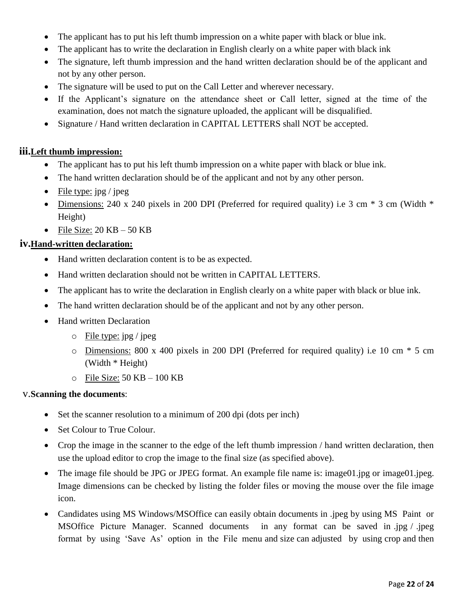- The applicant has to put his left thumb impression on a white paper with black or blue ink.
- The applicant has to write the declaration in English clearly on a white paper with black ink
- The signature, left thumb impression and the hand written declaration should be of the applicant and not by any other person.
- The signature will be used to put on the Call Letter and wherever necessary.
- If the Applicant's signature on the attendance sheet or Call letter, signed at the time of the examination, does not match the signature uploaded, the applicant will be disqualified.
- Signature / Hand written declaration in CAPITAL LETTERS shall NOT be accepted.

### **iii.Left thumb impression:**

- The applicant has to put his left thumb impression on a white paper with black or blue ink.
- The hand written declaration should be of the applicant and not by any other person.
- File type:  $\text{ipg} / \text{ipeg}$
- Dimensions: 240 x 240 pixels in 200 DPI (Preferred for required quality) i.e 3 cm  $*$  3 cm (Width  $*$ Height)
- File Size:  $20 \text{ KB} 50 \text{ KB}$

### **iv.Hand-written declaration:**

- Hand written declaration content is to be as expected.
- Hand written declaration should not be written in CAPITAL LETTERS.
- The applicant has to write the declaration in English clearly on a white paper with black or blue ink.
- The hand written declaration should be of the applicant and not by any other person.
- Hand written Declaration
	- $\circ$  File type: jpg / jpeg
	- o Dimensions: 800 x 400 pixels in 200 DPI (Preferred for required quality) i.e 10 cm \* 5 cm (Width \* Height)
	- $\circ$  File Size: 50 KB 100 KB

### v.**Scanning the documents**:

- Set the scanner resolution to a minimum of 200 dpi (dots per inch)
- Set Colour to True Colour.
- Crop the image in the scanner to the edge of the left thumb impression / hand written declaration, then use the upload editor to crop the image to the final size (as specified above).
- The image file should be JPG or JPEG format. An example file name is: image01.jpg or image01.jpeg. Image dimensions can be checked by listing the folder files or moving the mouse over the file image icon.
- Candidates using MS Windows/MSOffice can easily obtain documents in .jpeg by using MS Paint or MSOffice Picture Manager. Scanned documents in any format can be saved in .jpg / .jpeg format by using 'Save As' option in the File menu and size can adjusted by using crop and then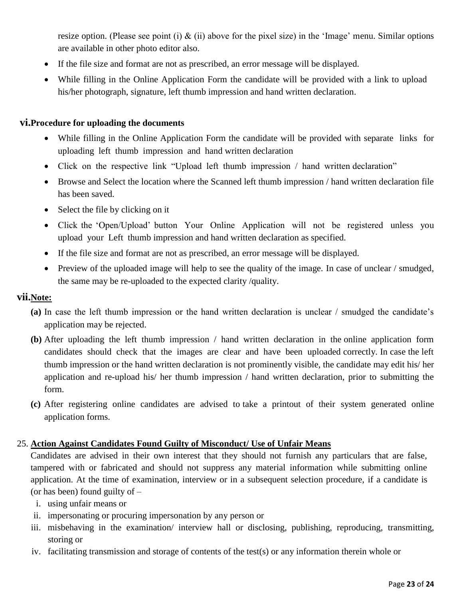resize option. (Please see point (i)  $\&$  (ii) above for the pixel size) in the 'Image' menu. Similar options are available in other photo editor also.

- If the file size and format are not as prescribed, an error message will be displayed.
- While filling in the Online Application Form the candidate will be provided with a link to upload his/her photograph, signature, left thumb impression and hand written declaration.

#### **vi.Procedure for uploading the documents**

- While filling in the Online Application Form the candidate will be provided with separate links for uploading left thumb impression and hand written declaration
- Click on the respective link "Upload left thumb impression / hand written declaration"
- Browse and Select the location where the Scanned left thumb impression / hand written declaration file has been saved.
- Select the file by clicking on it
- Click the 'Open/Upload' button Your Online Application will not be registered unless you upload your Left thumb impression and hand written declaration as specified.
- If the file size and format are not as prescribed, an error message will be displayed.
- Preview of the uploaded image will help to see the quality of the image. In case of unclear / smudged, the same may be re-uploaded to the expected clarity /quality.

#### **vii.Note:**

- **(a)** In case the left thumb impression or the hand written declaration is unclear / smudged the candidate's application may be rejected.
- **(b)** After uploading the left thumb impression / hand written declaration in the online application form candidates should check that the images are clear and have been uploaded correctly. In case the left thumb impression or the hand written declaration is not prominently visible, the candidate may edit his/ her application and re-upload his/ her thumb impression / hand written declaration, prior to submitting the form.
- **(c)** After registering online candidates are advised to take a printout of their system generated online application forms.

### 25. **Action Against Candidates Found Guilty of Misconduct/ Use of Unfair Means**

Candidates are advised in their own interest that they should not furnish any particulars that are false, tampered with or fabricated and should not suppress any material information while submitting online application. At the time of examination, interview or in a subsequent selection procedure, if a candidate is (or has been) found guilty of –

- i. using unfair means or
- ii. impersonating or procuring impersonation by any person or
- iii. misbehaving in the examination/ interview hall or disclosing, publishing, reproducing, transmitting, storing or
- iv. facilitating transmission and storage of contents of the test(s) or any information therein whole or